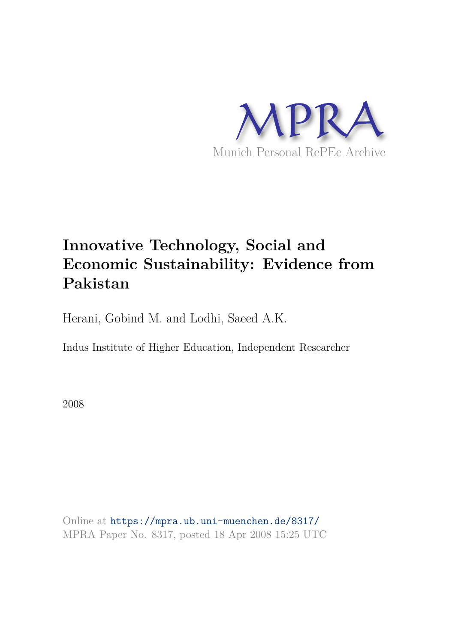

# **Innovative Technology, Social and Economic Sustainability: Evidence from Pakistan**

Herani, Gobind M. and Lodhi, Saeed A.K.

Indus Institute of Higher Education, Independent Researcher

2008

Online at https://mpra.ub.uni-muenchen.de/8317/ MPRA Paper No. 8317, posted 18 Apr 2008 15:25 UTC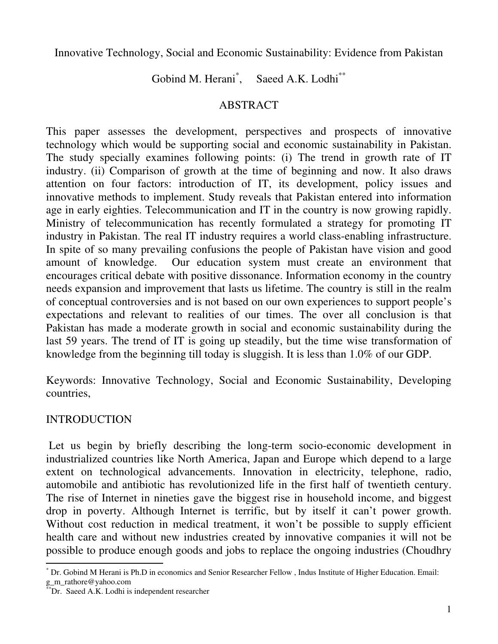Innovative Technology, Social and Economic Sustainability: Evidence from Pakistan

Gobind M. Herani<sup>\*</sup>, Saeed A.K. Lodhi<sup>\*\*</sup>

### ABSTRACT

This paper assesses the development, perspectives and prospects of innovative technology which would be supporting social and economic sustainability in Pakistan. The study specially examines following points: (i) The trend in growth rate of IT industry. (ii) Comparison of growth at the time of beginning and now. It also draws attention on four factors: introduction of IT, its development, policy issues and innovative methods to implement. Study reveals that Pakistan entered into information age in early eighties. Telecommunication and IT in the country is now growing rapidly. Ministry of telecommunication has recently formulated a strategy for promoting IT industry in Pakistan. The real IT industry requires a world class-enabling infrastructure. In spite of so many prevailing confusions the people of Pakistan have vision and good amount of knowledge. Our education system must create an environment that encourages critical debate with positive dissonance. Information economy in the country needs expansion and improvement that lasts us lifetime. The country is still in the realm of conceptual controversies and is not based on our own experiences to support people's expectations and relevant to realities of our times. The over all conclusion is that Pakistan has made a moderate growth in social and economic sustainability during the last 59 years. The trend of IT is going up steadily, but the time wise transformation of knowledge from the beginning till today is sluggish. It is less than 1.0% of our GDP.

Keywords: Innovative Technology, Social and Economic Sustainability, Developing countries,

## INTRODUCTION

 Let us begin by briefly describing the long-term socio-economic development in industrialized countries like North America, Japan and Europe which depend to a large extent on technological advancements. Innovation in electricity, telephone, radio, automobile and antibiotic has revolutionized life in the first half of twentieth century. The rise of Internet in nineties gave the biggest rise in household income, and biggest drop in poverty. Although Internet is terrific, but by itself it can't power growth. Without cost reduction in medical treatment, it won't be possible to supply efficient health care and without new industries created by innovative companies it will not be possible to produce enough goods and jobs to replace the ongoing industries (Choudhry

 $\overline{a}$ \* Dr. Gobind M Herani is Ph.D in economics and Senior Researcher Fellow , Indus Institute of Higher Education. Email: g\_m\_rathore@yahoo.com

Dr. Saeed A.K. Lodhi is independent researcher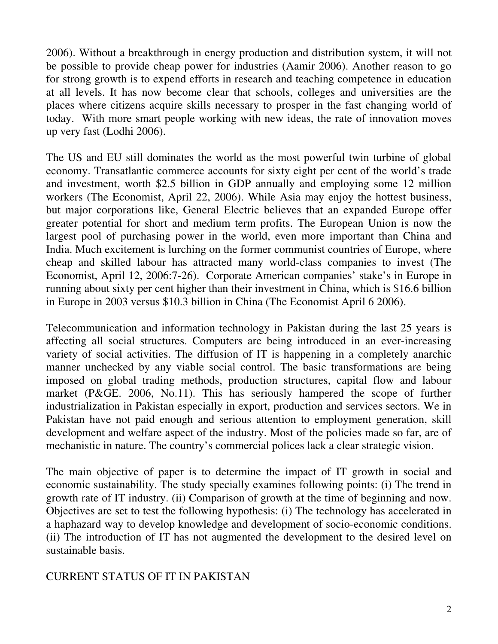2006). Without a breakthrough in energy production and distribution system, it will not be possible to provide cheap power for industries (Aamir 2006). Another reason to go for strong growth is to expend efforts in research and teaching competence in education at all levels. It has now become clear that schools, colleges and universities are the places where citizens acquire skills necessary to prosper in the fast changing world of today. With more smart people working with new ideas, the rate of innovation moves up very fast (Lodhi 2006).

The US and EU still dominates the world as the most powerful twin turbine of global economy. Transatlantic commerce accounts for sixty eight per cent of the world's trade and investment, worth \$2.5 billion in GDP annually and employing some 12 million workers (The Economist, April 22, 2006). While Asia may enjoy the hottest business, but major corporations like, General Electric believes that an expanded Europe offer greater potential for short and medium term profits. The European Union is now the largest pool of purchasing power in the world, even more important than China and India. Much excitement is lurching on the former communist countries of Europe, where cheap and skilled labour has attracted many world-class companies to invest (The Economist, April 12, 2006:7-26). Corporate American companies' stake's in Europe in running about sixty per cent higher than their investment in China, which is \$16.6 billion in Europe in 2003 versus \$10.3 billion in China (The Economist April 6 2006).

Telecommunication and information technology in Pakistan during the last 25 years is affecting all social structures. Computers are being introduced in an ever-increasing variety of social activities. The diffusion of IT is happening in a completely anarchic manner unchecked by any viable social control. The basic transformations are being imposed on global trading methods, production structures, capital flow and labour market (P&GE. 2006, No.11). This has seriously hampered the scope of further industrialization in Pakistan especially in export, production and services sectors. We in Pakistan have not paid enough and serious attention to employment generation, skill development and welfare aspect of the industry. Most of the policies made so far, are of mechanistic in nature. The country's commercial polices lack a clear strategic vision.

The main objective of paper is to determine the impact of IT growth in social and economic sustainability. The study specially examines following points: (i) The trend in growth rate of IT industry. (ii) Comparison of growth at the time of beginning and now. Objectives are set to test the following hypothesis: (i) The technology has accelerated in a haphazard way to develop knowledge and development of socio-economic conditions. (ii) The introduction of IT has not augmented the development to the desired level on sustainable basis.

## CURRENT STATUS OF IT IN PAKISTAN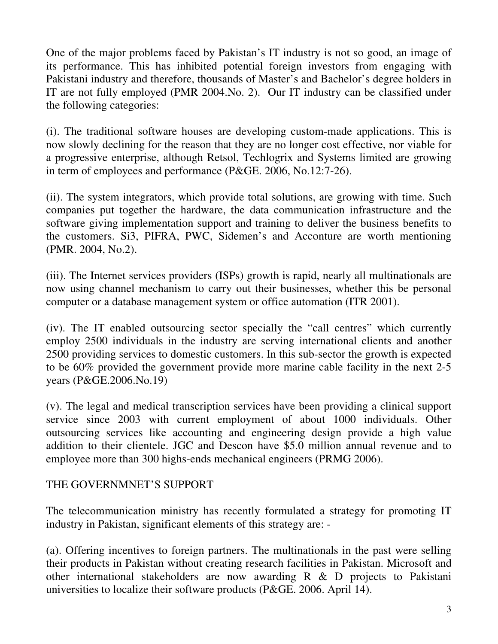One of the major problems faced by Pakistan's IT industry is not so good, an image of its performance. This has inhibited potential foreign investors from engaging with Pakistani industry and therefore, thousands of Master's and Bachelor's degree holders in IT are not fully employed (PMR 2004.No. 2). Our IT industry can be classified under the following categories:

(i). The traditional software houses are developing custom-made applications. This is now slowly declining for the reason that they are no longer cost effective, nor viable for a progressive enterprise, although Retsol, Techlogrix and Systems limited are growing in term of employees and performance (P&GE. 2006, No.12:7-26).

(ii). The system integrators, which provide total solutions, are growing with time. Such companies put together the hardware, the data communication infrastructure and the software giving implementation support and training to deliver the business benefits to the customers. Si3, PIFRA, PWC, Sidemen's and Acconture are worth mentioning (PMR. 2004, No.2).

(iii). The Internet services providers (ISPs) growth is rapid, nearly all multinationals are now using channel mechanism to carry out their businesses, whether this be personal computer or a database management system or office automation (ITR 2001).

(iv). The IT enabled outsourcing sector specially the "call centres" which currently employ 2500 individuals in the industry are serving international clients and another 2500 providing services to domestic customers. In this sub-sector the growth is expected to be 60% provided the government provide more marine cable facility in the next 2-5 years (P&GE.2006.No.19)

(v). The legal and medical transcription services have been providing a clinical support service since 2003 with current employment of about 1000 individuals. Other outsourcing services like accounting and engineering design provide a high value addition to their clientele. JGC and Descon have \$5.0 million annual revenue and to employee more than 300 highs-ends mechanical engineers (PRMG 2006).

#### THE GOVERNMNET'S SUPPORT

The telecommunication ministry has recently formulated a strategy for promoting IT industry in Pakistan, significant elements of this strategy are: -

(a). Offering incentives to foreign partners. The multinationals in the past were selling their products in Pakistan without creating research facilities in Pakistan. Microsoft and other international stakeholders are now awarding R & D projects to Pakistani universities to localize their software products (P&GE. 2006. April 14).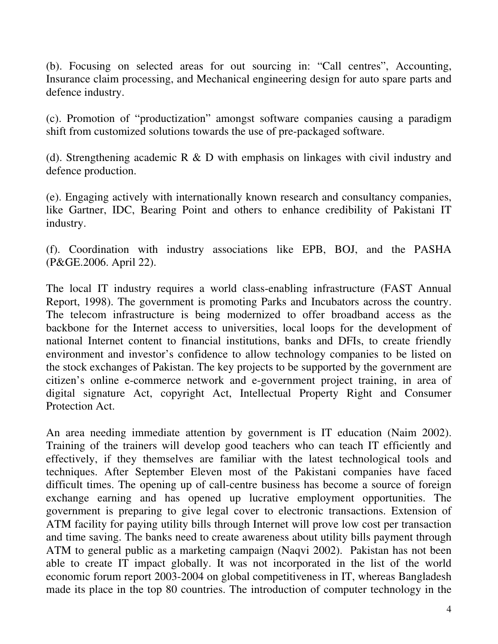(b). Focusing on selected areas for out sourcing in: "Call centres", Accounting, Insurance claim processing, and Mechanical engineering design for auto spare parts and defence industry.

(c). Promotion of "productization" amongst software companies causing a paradigm shift from customized solutions towards the use of pre-packaged software.

(d). Strengthening academic R & D with emphasis on linkages with civil industry and defence production.

(e). Engaging actively with internationally known research and consultancy companies, like Gartner, IDC, Bearing Point and others to enhance credibility of Pakistani IT industry.

(f). Coordination with industry associations like EPB, BOJ, and the PASHA (P&GE.2006. April 22).

The local IT industry requires a world class-enabling infrastructure (FAST Annual Report, 1998). The government is promoting Parks and Incubators across the country. The telecom infrastructure is being modernized to offer broadband access as the backbone for the Internet access to universities, local loops for the development of national Internet content to financial institutions, banks and DFIs, to create friendly environment and investor's confidence to allow technology companies to be listed on the stock exchanges of Pakistan. The key projects to be supported by the government are citizen's online e-commerce network and e-government project training, in area of digital signature Act, copyright Act, Intellectual Property Right and Consumer Protection Act.

An area needing immediate attention by government is IT education (Naim 2002). Training of the trainers will develop good teachers who can teach IT efficiently and effectively, if they themselves are familiar with the latest technological tools and techniques. After September Eleven most of the Pakistani companies have faced difficult times. The opening up of call-centre business has become a source of foreign exchange earning and has opened up lucrative employment opportunities. The government is preparing to give legal cover to electronic transactions. Extension of ATM facility for paying utility bills through Internet will prove low cost per transaction and time saving. The banks need to create awareness about utility bills payment through ATM to general public as a marketing campaign (Naqvi 2002). Pakistan has not been able to create IT impact globally. It was not incorporated in the list of the world economic forum report 2003-2004 on global competitiveness in IT, whereas Bangladesh made its place in the top 80 countries. The introduction of computer technology in the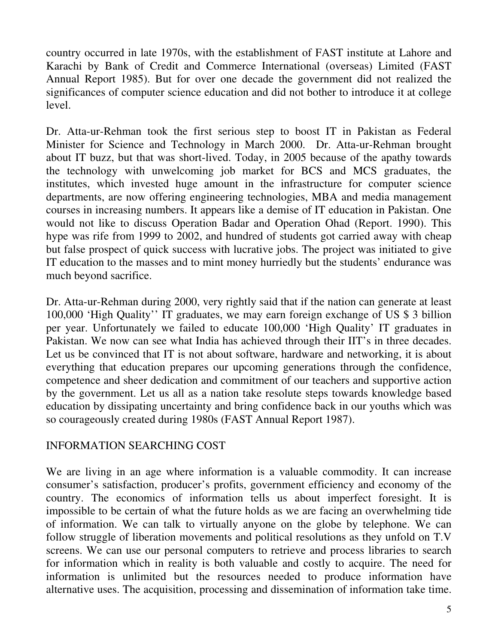country occurred in late 1970s, with the establishment of FAST institute at Lahore and Karachi by Bank of Credit and Commerce International (overseas) Limited (FAST Annual Report 1985). But for over one decade the government did not realized the significances of computer science education and did not bother to introduce it at college level.

Dr. Atta-ur-Rehman took the first serious step to boost IT in Pakistan as Federal Minister for Science and Technology in March 2000. Dr. Atta-ur-Rehman brought about IT buzz, but that was short-lived. Today, in 2005 because of the apathy towards the technology with unwelcoming job market for BCS and MCS graduates, the institutes, which invested huge amount in the infrastructure for computer science departments, are now offering engineering technologies, MBA and media management courses in increasing numbers. It appears like a demise of IT education in Pakistan. One would not like to discuss Operation Badar and Operation Ohad (Report. 1990). This hype was rife from 1999 to 2002, and hundred of students got carried away with cheap but false prospect of quick success with lucrative jobs. The project was initiated to give IT education to the masses and to mint money hurriedly but the students' endurance was much beyond sacrifice.

Dr. Atta-ur-Rehman during 2000, very rightly said that if the nation can generate at least 100,000 'High Quality'' IT graduates, we may earn foreign exchange of US \$ 3 billion per year. Unfortunately we failed to educate 100,000 'High Quality' IT graduates in Pakistan. We now can see what India has achieved through their IIT's in three decades. Let us be convinced that IT is not about software, hardware and networking, it is about everything that education prepares our upcoming generations through the confidence, competence and sheer dedication and commitment of our teachers and supportive action by the government. Let us all as a nation take resolute steps towards knowledge based education by dissipating uncertainty and bring confidence back in our youths which was so courageously created during 1980s (FAST Annual Report 1987).

#### INFORMATION SEARCHING COST

We are living in an age where information is a valuable commodity. It can increase consumer's satisfaction, producer's profits, government efficiency and economy of the country. The economics of information tells us about imperfect foresight. It is impossible to be certain of what the future holds as we are facing an overwhelming tide of information. We can talk to virtually anyone on the globe by telephone. We can follow struggle of liberation movements and political resolutions as they unfold on T.V screens. We can use our personal computers to retrieve and process libraries to search for information which in reality is both valuable and costly to acquire. The need for information is unlimited but the resources needed to produce information have alternative uses. The acquisition, processing and dissemination of information take time.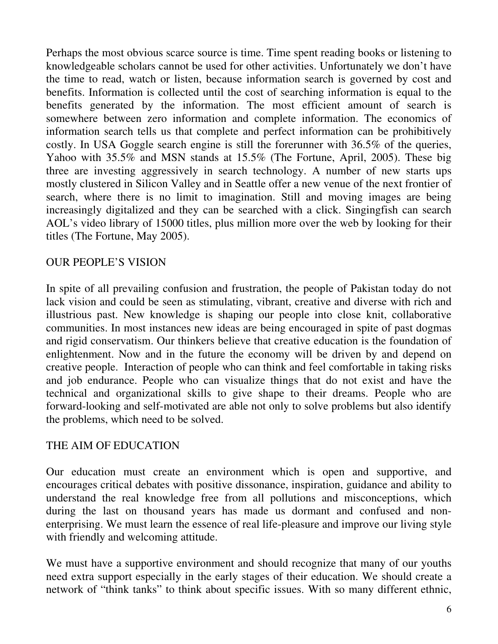Perhaps the most obvious scarce source is time. Time spent reading books or listening to knowledgeable scholars cannot be used for other activities. Unfortunately we don't have the time to read, watch or listen, because information search is governed by cost and benefits. Information is collected until the cost of searching information is equal to the benefits generated by the information. The most efficient amount of search is somewhere between zero information and complete information. The economics of information search tells us that complete and perfect information can be prohibitively costly. In USA Goggle search engine is still the forerunner with 36.5% of the queries, Yahoo with 35.5% and MSN stands at 15.5% (The Fortune, April, 2005). These big three are investing aggressively in search technology. A number of new starts ups mostly clustered in Silicon Valley and in Seattle offer a new venue of the next frontier of search, where there is no limit to imagination. Still and moving images are being increasingly digitalized and they can be searched with a click. Singingfish can search AOL's video library of 15000 titles, plus million more over the web by looking for their titles (The Fortune, May 2005).

#### OUR PEOPLE'S VISION

In spite of all prevailing confusion and frustration, the people of Pakistan today do not lack vision and could be seen as stimulating, vibrant, creative and diverse with rich and illustrious past. New knowledge is shaping our people into close knit, collaborative communities. In most instances new ideas are being encouraged in spite of past dogmas and rigid conservatism. Our thinkers believe that creative education is the foundation of enlightenment. Now and in the future the economy will be driven by and depend on creative people. Interaction of people who can think and feel comfortable in taking risks and job endurance. People who can visualize things that do not exist and have the technical and organizational skills to give shape to their dreams. People who are forward-looking and self-motivated are able not only to solve problems but also identify the problems, which need to be solved.

#### THE AIM OF EDUCATION

Our education must create an environment which is open and supportive, and encourages critical debates with positive dissonance, inspiration, guidance and ability to understand the real knowledge free from all pollutions and misconceptions, which during the last on thousand years has made us dormant and confused and nonenterprising. We must learn the essence of real life-pleasure and improve our living style with friendly and welcoming attitude.

We must have a supportive environment and should recognize that many of our youths need extra support especially in the early stages of their education. We should create a network of "think tanks" to think about specific issues. With so many different ethnic,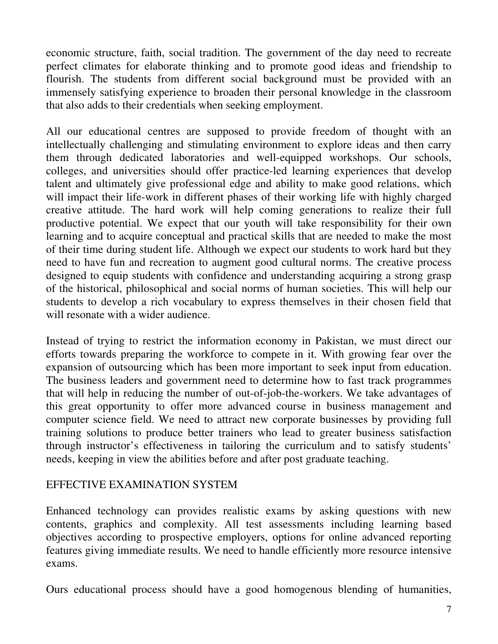economic structure, faith, social tradition. The government of the day need to recreate perfect climates for elaborate thinking and to promote good ideas and friendship to flourish. The students from different social background must be provided with an immensely satisfying experience to broaden their personal knowledge in the classroom that also adds to their credentials when seeking employment.

All our educational centres are supposed to provide freedom of thought with an intellectually challenging and stimulating environment to explore ideas and then carry them through dedicated laboratories and well-equipped workshops. Our schools, colleges, and universities should offer practice-led learning experiences that develop talent and ultimately give professional edge and ability to make good relations, which will impact their life-work in different phases of their working life with highly charged creative attitude. The hard work will help coming generations to realize their full productive potential. We expect that our youth will take responsibility for their own learning and to acquire conceptual and practical skills that are needed to make the most of their time during student life. Although we expect our students to work hard but they need to have fun and recreation to augment good cultural norms. The creative process designed to equip students with confidence and understanding acquiring a strong grasp of the historical, philosophical and social norms of human societies. This will help our students to develop a rich vocabulary to express themselves in their chosen field that will resonate with a wider audience.

Instead of trying to restrict the information economy in Pakistan, we must direct our efforts towards preparing the workforce to compete in it. With growing fear over the expansion of outsourcing which has been more important to seek input from education. The business leaders and government need to determine how to fast track programmes that will help in reducing the number of out-of-job-the-workers. We take advantages of this great opportunity to offer more advanced course in business management and computer science field. We need to attract new corporate businesses by providing full training solutions to produce better trainers who lead to greater business satisfaction through instructor's effectiveness in tailoring the curriculum and to satisfy students' needs, keeping in view the abilities before and after post graduate teaching.

#### EFFECTIVE EXAMINATION SYSTEM

Enhanced technology can provides realistic exams by asking questions with new contents, graphics and complexity. All test assessments including learning based objectives according to prospective employers, options for online advanced reporting features giving immediate results. We need to handle efficiently more resource intensive exams.

Ours educational process should have a good homogenous blending of humanities,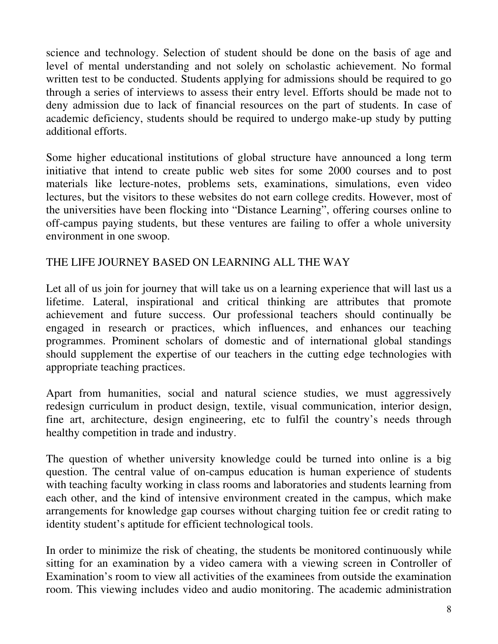science and technology. Selection of student should be done on the basis of age and level of mental understanding and not solely on scholastic achievement. No formal written test to be conducted. Students applying for admissions should be required to go through a series of interviews to assess their entry level. Efforts should be made not to deny admission due to lack of financial resources on the part of students. In case of academic deficiency, students should be required to undergo make-up study by putting additional efforts.

Some higher educational institutions of global structure have announced a long term initiative that intend to create public web sites for some 2000 courses and to post materials like lecture-notes, problems sets, examinations, simulations, even video lectures, but the visitors to these websites do not earn college credits. However, most of the universities have been flocking into "Distance Learning", offering courses online to off-campus paying students, but these ventures are failing to offer a whole university environment in one swoop.

## THE LIFE JOURNEY BASED ON LEARNING ALL THE WAY

Let all of us join for journey that will take us on a learning experience that will last us a lifetime. Lateral, inspirational and critical thinking are attributes that promote achievement and future success. Our professional teachers should continually be engaged in research or practices, which influences, and enhances our teaching programmes. Prominent scholars of domestic and of international global standings should supplement the expertise of our teachers in the cutting edge technologies with appropriate teaching practices.

Apart from humanities, social and natural science studies, we must aggressively redesign curriculum in product design, textile, visual communication, interior design, fine art, architecture, design engineering, etc to fulfil the country's needs through healthy competition in trade and industry.

The question of whether university knowledge could be turned into online is a big question. The central value of on-campus education is human experience of students with teaching faculty working in class rooms and laboratories and students learning from each other, and the kind of intensive environment created in the campus, which make arrangements for knowledge gap courses without charging tuition fee or credit rating to identity student's aptitude for efficient technological tools.

In order to minimize the risk of cheating, the students be monitored continuously while sitting for an examination by a video camera with a viewing screen in Controller of Examination's room to view all activities of the examinees from outside the examination room. This viewing includes video and audio monitoring. The academic administration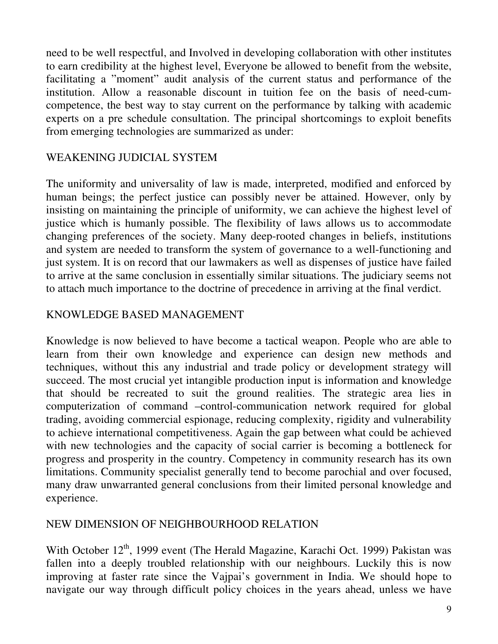need to be well respectful, and Involved in developing collaboration with other institutes to earn credibility at the highest level, Everyone be allowed to benefit from the website, facilitating a "moment" audit analysis of the current status and performance of the institution. Allow a reasonable discount in tuition fee on the basis of need-cumcompetence, the best way to stay current on the performance by talking with academic experts on a pre schedule consultation. The principal shortcomings to exploit benefits from emerging technologies are summarized as under:

### WEAKENING JUDICIAL SYSTEM

The uniformity and universality of law is made, interpreted, modified and enforced by human beings; the perfect justice can possibly never be attained. However, only by insisting on maintaining the principle of uniformity, we can achieve the highest level of justice which is humanly possible. The flexibility of laws allows us to accommodate changing preferences of the society. Many deep-rooted changes in beliefs, institutions and system are needed to transform the system of governance to a well-functioning and just system. It is on record that our lawmakers as well as dispenses of justice have failed to arrive at the same conclusion in essentially similar situations. The judiciary seems not to attach much importance to the doctrine of precedence in arriving at the final verdict.

#### KNOWLEDGE BASED MANAGEMENT

Knowledge is now believed to have become a tactical weapon. People who are able to learn from their own knowledge and experience can design new methods and techniques, without this any industrial and trade policy or development strategy will succeed. The most crucial yet intangible production input is information and knowledge that should be recreated to suit the ground realities. The strategic area lies in computerization of command –control-communication network required for global trading, avoiding commercial espionage, reducing complexity, rigidity and vulnerability to achieve international competitiveness. Again the gap between what could be achieved with new technologies and the capacity of social carrier is becoming a bottleneck for progress and prosperity in the country. Competency in community research has its own limitations. Community specialist generally tend to become parochial and over focused, many draw unwarranted general conclusions from their limited personal knowledge and experience.

#### NEW DIMENSION OF NEIGHBOURHOOD RELATION

With October 12<sup>th</sup>, 1999 event (The Herald Magazine, Karachi Oct. 1999) Pakistan was fallen into a deeply troubled relationship with our neighbours. Luckily this is now improving at faster rate since the Vajpai's government in India. We should hope to navigate our way through difficult policy choices in the years ahead, unless we have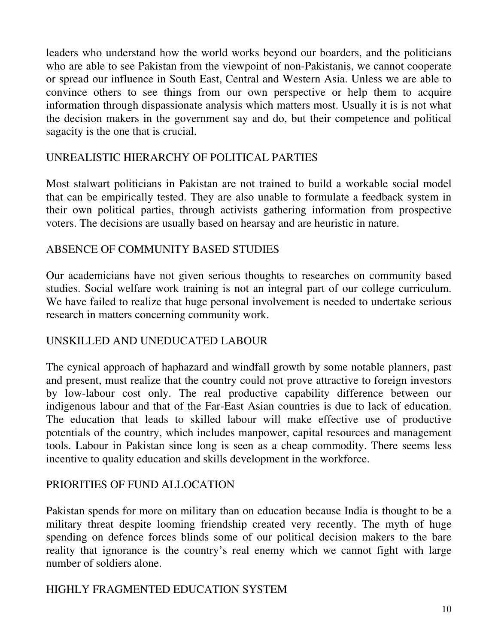leaders who understand how the world works beyond our boarders, and the politicians who are able to see Pakistan from the viewpoint of non-Pakistanis, we cannot cooperate or spread our influence in South East, Central and Western Asia. Unless we are able to convince others to see things from our own perspective or help them to acquire information through dispassionate analysis which matters most. Usually it is is not what the decision makers in the government say and do, but their competence and political sagacity is the one that is crucial.

#### UNREALISTIC HIERARCHY OF POLITICAL PARTIES

Most stalwart politicians in Pakistan are not trained to build a workable social model that can be empirically tested. They are also unable to formulate a feedback system in their own political parties, through activists gathering information from prospective voters. The decisions are usually based on hearsay and are heuristic in nature.

#### ABSENCE OF COMMUNITY BASED STUDIES

Our academicians have not given serious thoughts to researches on community based studies. Social welfare work training is not an integral part of our college curriculum. We have failed to realize that huge personal involvement is needed to undertake serious research in matters concerning community work.

#### UNSKILLED AND UNEDUCATED LABOUR

The cynical approach of haphazard and windfall growth by some notable planners, past and present, must realize that the country could not prove attractive to foreign investors by low-labour cost only. The real productive capability difference between our indigenous labour and that of the Far-East Asian countries is due to lack of education. The education that leads to skilled labour will make effective use of productive potentials of the country, which includes manpower, capital resources and management tools. Labour in Pakistan since long is seen as a cheap commodity. There seems less incentive to quality education and skills development in the workforce.

#### PRIORITIES OF FUND ALLOCATION

Pakistan spends for more on military than on education because India is thought to be a military threat despite looming friendship created very recently. The myth of huge spending on defence forces blinds some of our political decision makers to the bare reality that ignorance is the country's real enemy which we cannot fight with large number of soldiers alone.

#### HIGHLY FRAGMENTED EDUCATION SYSTEM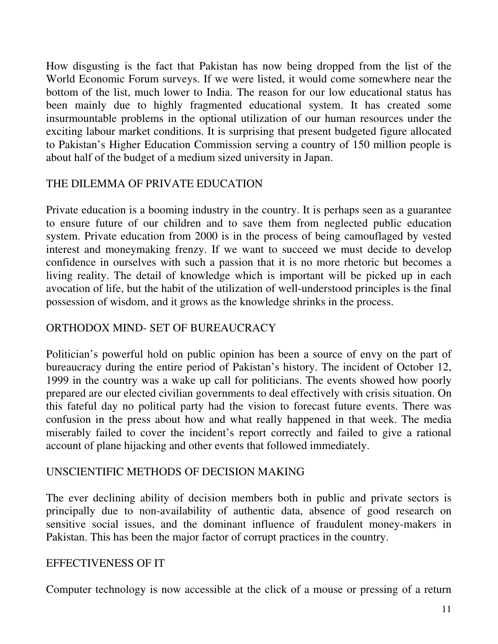How disgusting is the fact that Pakistan has now being dropped from the list of the World Economic Forum surveys. If we were listed, it would come somewhere near the bottom of the list, much lower to India. The reason for our low educational status has been mainly due to highly fragmented educational system. It has created some insurmountable problems in the optional utilization of our human resources under the exciting labour market conditions. It is surprising that present budgeted figure allocated to Pakistan's Higher Education Commission serving a country of 150 million people is about half of the budget of a medium sized university in Japan.

#### THE DILEMMA OF PRIVATE EDUCATION

Private education is a booming industry in the country. It is perhaps seen as a guarantee to ensure future of our children and to save them from neglected public education system. Private education from 2000 is in the process of being camouflaged by vested interest and moneymaking frenzy. If we want to succeed we must decide to develop confidence in ourselves with such a passion that it is no more rhetoric but becomes a living reality. The detail of knowledge which is important will be picked up in each avocation of life, but the habit of the utilization of well-understood principles is the final possession of wisdom, and it grows as the knowledge shrinks in the process.

### ORTHODOX MIND- SET OF BUREAUCRACY

Politician's powerful hold on public opinion has been a source of envy on the part of bureaucracy during the entire period of Pakistan's history. The incident of October 12, 1999 in the country was a wake up call for politicians. The events showed how poorly prepared are our elected civilian governments to deal effectively with crisis situation. On this fateful day no political party had the vision to forecast future events. There was confusion in the press about how and what really happened in that week. The media miserably failed to cover the incident's report correctly and failed to give a rational account of plane hijacking and other events that followed immediately.

#### UNSCIENTIFIC METHODS OF DECISION MAKING

The ever declining ability of decision members both in public and private sectors is principally due to non-availability of authentic data, absence of good research on sensitive social issues, and the dominant influence of fraudulent money-makers in Pakistan. This has been the major factor of corrupt practices in the country.

#### EFFECTIVENESS OF IT

Computer technology is now accessible at the click of a mouse or pressing of a return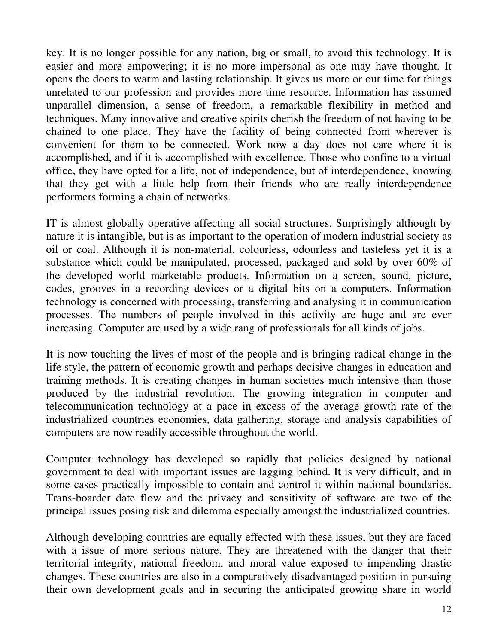key. It is no longer possible for any nation, big or small, to avoid this technology. It is easier and more empowering; it is no more impersonal as one may have thought. It opens the doors to warm and lasting relationship. It gives us more or our time for things unrelated to our profession and provides more time resource. Information has assumed unparallel dimension, a sense of freedom, a remarkable flexibility in method and techniques. Many innovative and creative spirits cherish the freedom of not having to be chained to one place. They have the facility of being connected from wherever is convenient for them to be connected. Work now a day does not care where it is accomplished, and if it is accomplished with excellence. Those who confine to a virtual office, they have opted for a life, not of independence, but of interdependence, knowing that they get with a little help from their friends who are really interdependence performers forming a chain of networks.

IT is almost globally operative affecting all social structures. Surprisingly although by nature it is intangible, but is as important to the operation of modern industrial society as oil or coal. Although it is non-material, colourless, odourless and tasteless yet it is a substance which could be manipulated, processed, packaged and sold by over 60% of the developed world marketable products. Information on a screen, sound, picture, codes, grooves in a recording devices or a digital bits on a computers. Information technology is concerned with processing, transferring and analysing it in communication processes. The numbers of people involved in this activity are huge and are ever increasing. Computer are used by a wide rang of professionals for all kinds of jobs.

It is now touching the lives of most of the people and is bringing radical change in the life style, the pattern of economic growth and perhaps decisive changes in education and training methods. It is creating changes in human societies much intensive than those produced by the industrial revolution. The growing integration in computer and telecommunication technology at a pace in excess of the average growth rate of the industrialized countries economies, data gathering, storage and analysis capabilities of computers are now readily accessible throughout the world.

Computer technology has developed so rapidly that policies designed by national government to deal with important issues are lagging behind. It is very difficult, and in some cases practically impossible to contain and control it within national boundaries. Trans-boarder date flow and the privacy and sensitivity of software are two of the principal issues posing risk and dilemma especially amongst the industrialized countries.

Although developing countries are equally effected with these issues, but they are faced with a issue of more serious nature. They are threatened with the danger that their territorial integrity, national freedom, and moral value exposed to impending drastic changes. These countries are also in a comparatively disadvantaged position in pursuing their own development goals and in securing the anticipated growing share in world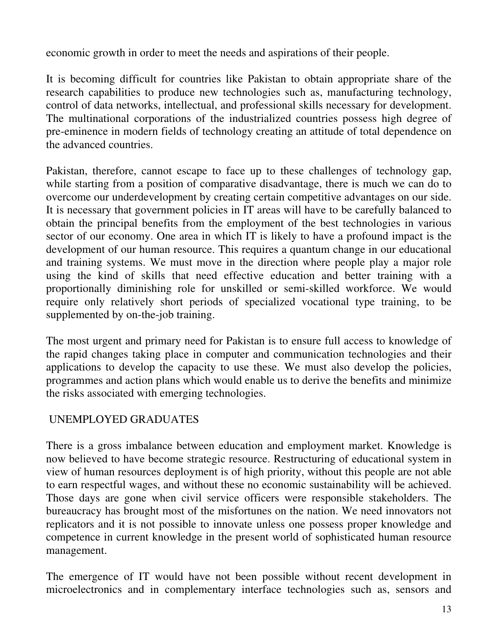economic growth in order to meet the needs and aspirations of their people.

It is becoming difficult for countries like Pakistan to obtain appropriate share of the research capabilities to produce new technologies such as, manufacturing technology, control of data networks, intellectual, and professional skills necessary for development. The multinational corporations of the industrialized countries possess high degree of pre-eminence in modern fields of technology creating an attitude of total dependence on the advanced countries.

Pakistan, therefore, cannot escape to face up to these challenges of technology gap, while starting from a position of comparative disadvantage, there is much we can do to overcome our underdevelopment by creating certain competitive advantages on our side. It is necessary that government policies in IT areas will have to be carefully balanced to obtain the principal benefits from the employment of the best technologies in various sector of our economy. One area in which IT is likely to have a profound impact is the development of our human resource. This requires a quantum change in our educational and training systems. We must move in the direction where people play a major role using the kind of skills that need effective education and better training with a proportionally diminishing role for unskilled or semi-skilled workforce. We would require only relatively short periods of specialized vocational type training, to be supplemented by on-the-job training.

The most urgent and primary need for Pakistan is to ensure full access to knowledge of the rapid changes taking place in computer and communication technologies and their applications to develop the capacity to use these. We must also develop the policies, programmes and action plans which would enable us to derive the benefits and minimize the risks associated with emerging technologies.

## UNEMPLOYED GRADUATES

There is a gross imbalance between education and employment market. Knowledge is now believed to have become strategic resource. Restructuring of educational system in view of human resources deployment is of high priority, without this people are not able to earn respectful wages, and without these no economic sustainability will be achieved. Those days are gone when civil service officers were responsible stakeholders. The bureaucracy has brought most of the misfortunes on the nation. We need innovators not replicators and it is not possible to innovate unless one possess proper knowledge and competence in current knowledge in the present world of sophisticated human resource management.

The emergence of IT would have not been possible without recent development in microelectronics and in complementary interface technologies such as, sensors and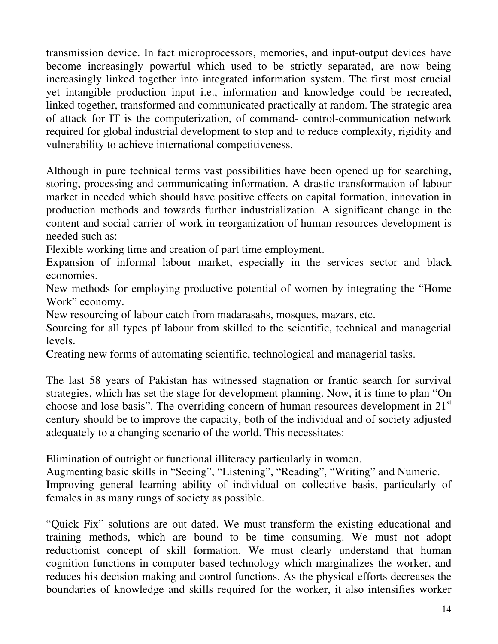transmission device. In fact microprocessors, memories, and input-output devices have become increasingly powerful which used to be strictly separated, are now being increasingly linked together into integrated information system. The first most crucial yet intangible production input i.e., information and knowledge could be recreated, linked together, transformed and communicated practically at random. The strategic area of attack for IT is the computerization, of command- control-communication network required for global industrial development to stop and to reduce complexity, rigidity and vulnerability to achieve international competitiveness.

Although in pure technical terms vast possibilities have been opened up for searching, storing, processing and communicating information. A drastic transformation of labour market in needed which should have positive effects on capital formation, innovation in production methods and towards further industrialization. A significant change in the content and social carrier of work in reorganization of human resources development is needed such as: -

Flexible working time and creation of part time employment.

Expansion of informal labour market, especially in the services sector and black economies.

New methods for employing productive potential of women by integrating the "Home Work" economy.

New resourcing of labour catch from madarasahs, mosques, mazars, etc.

Sourcing for all types pf labour from skilled to the scientific, technical and managerial levels.

Creating new forms of automating scientific, technological and managerial tasks.

The last 58 years of Pakistan has witnessed stagnation or frantic search for survival strategies, which has set the stage for development planning. Now, it is time to plan "On choose and lose basis". The overriding concern of human resources development in  $21<sup>st</sup>$ century should be to improve the capacity, both of the individual and of society adjusted adequately to a changing scenario of the world. This necessitates:

Elimination of outright or functional illiteracy particularly in women.

Augmenting basic skills in "Seeing", "Listening", "Reading", "Writing" and Numeric. Improving general learning ability of individual on collective basis, particularly of females in as many rungs of society as possible.

"Quick Fix" solutions are out dated. We must transform the existing educational and training methods, which are bound to be time consuming. We must not adopt reductionist concept of skill formation. We must clearly understand that human cognition functions in computer based technology which marginalizes the worker, and reduces his decision making and control functions. As the physical efforts decreases the boundaries of knowledge and skills required for the worker, it also intensifies worker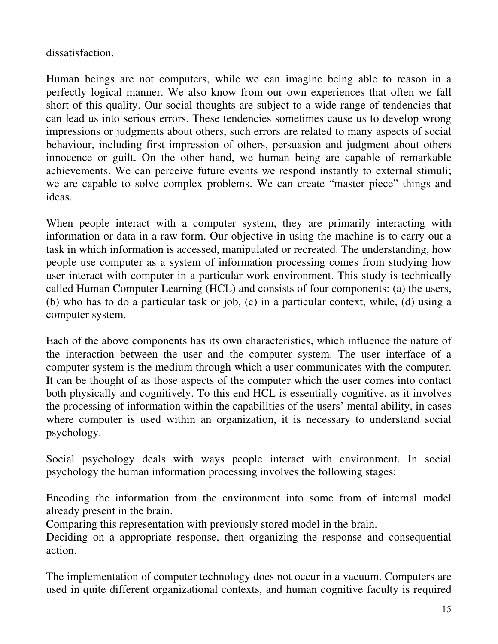dissatisfaction.

Human beings are not computers, while we can imagine being able to reason in a perfectly logical manner. We also know from our own experiences that often we fall short of this quality. Our social thoughts are subject to a wide range of tendencies that can lead us into serious errors. These tendencies sometimes cause us to develop wrong impressions or judgments about others, such errors are related to many aspects of social behaviour, including first impression of others, persuasion and judgment about others innocence or guilt. On the other hand, we human being are capable of remarkable achievements. We can perceive future events we respond instantly to external stimuli; we are capable to solve complex problems. We can create "master piece" things and ideas.

When people interact with a computer system, they are primarily interacting with information or data in a raw form. Our objective in using the machine is to carry out a task in which information is accessed, manipulated or recreated. The understanding, how people use computer as a system of information processing comes from studying how user interact with computer in a particular work environment. This study is technically called Human Computer Learning (HCL) and consists of four components: (a) the users, (b) who has to do a particular task or job, (c) in a particular context, while, (d) using a computer system.

Each of the above components has its own characteristics, which influence the nature of the interaction between the user and the computer system. The user interface of a computer system is the medium through which a user communicates with the computer. It can be thought of as those aspects of the computer which the user comes into contact both physically and cognitively. To this end HCL is essentially cognitive, as it involves the processing of information within the capabilities of the users' mental ability, in cases where computer is used within an organization, it is necessary to understand social psychology.

Social psychology deals with ways people interact with environment. In social psychology the human information processing involves the following stages:

Encoding the information from the environment into some from of internal model already present in the brain.

Comparing this representation with previously stored model in the brain.

Deciding on a appropriate response, then organizing the response and consequential action.

The implementation of computer technology does not occur in a vacuum. Computers are used in quite different organizational contexts, and human cognitive faculty is required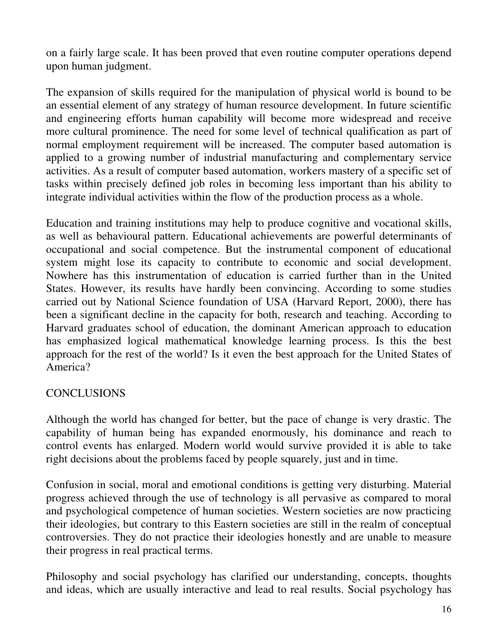on a fairly large scale. It has been proved that even routine computer operations depend upon human judgment.

The expansion of skills required for the manipulation of physical world is bound to be an essential element of any strategy of human resource development. In future scientific and engineering efforts human capability will become more widespread and receive more cultural prominence. The need for some level of technical qualification as part of normal employment requirement will be increased. The computer based automation is applied to a growing number of industrial manufacturing and complementary service activities. As a result of computer based automation, workers mastery of a specific set of tasks within precisely defined job roles in becoming less important than his ability to integrate individual activities within the flow of the production process as a whole.

Education and training institutions may help to produce cognitive and vocational skills, as well as behavioural pattern. Educational achievements are powerful determinants of occupational and social competence. But the instrumental component of educational system might lose its capacity to contribute to economic and social development. Nowhere has this instrumentation of education is carried further than in the United States. However, its results have hardly been convincing. According to some studies carried out by National Science foundation of USA (Harvard Report, 2000), there has been a significant decline in the capacity for both, research and teaching. According to Harvard graduates school of education, the dominant American approach to education has emphasized logical mathematical knowledge learning process. Is this the best approach for the rest of the world? Is it even the best approach for the United States of America?

#### **CONCLUSIONS**

Although the world has changed for better, but the pace of change is very drastic. The capability of human being has expanded enormously, his dominance and reach to control events has enlarged. Modern world would survive provided it is able to take right decisions about the problems faced by people squarely, just and in time.

Confusion in social, moral and emotional conditions is getting very disturbing. Material progress achieved through the use of technology is all pervasive as compared to moral and psychological competence of human societies. Western societies are now practicing their ideologies, but contrary to this Eastern societies are still in the realm of conceptual controversies. They do not practice their ideologies honestly and are unable to measure their progress in real practical terms.

Philosophy and social psychology has clarified our understanding, concepts, thoughts and ideas, which are usually interactive and lead to real results. Social psychology has